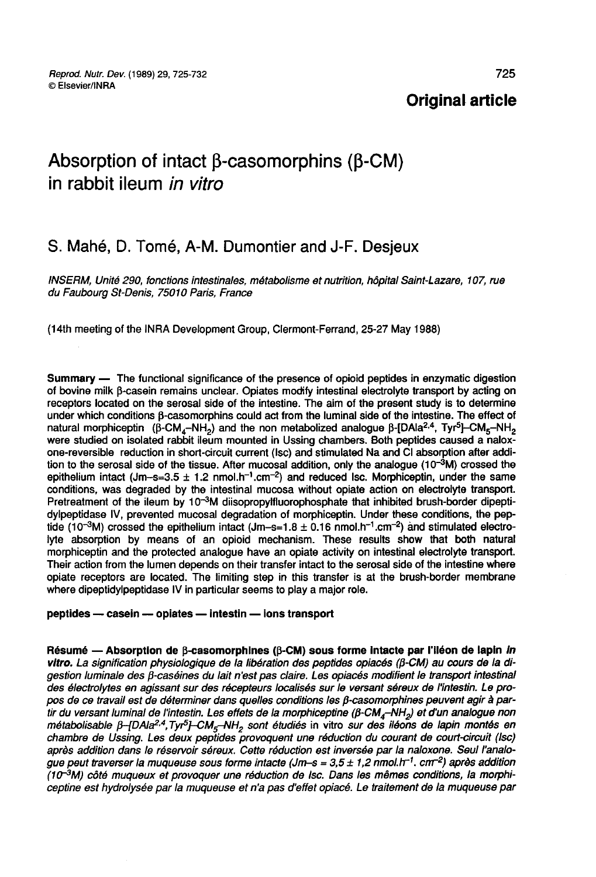### Original article

# Absorption of intact β-casomorphins (β-CM) in rabbit ileum in vitro

## S. Mahé, D. Tomé, A-M. Dumontier and J-F. Desjeux

INSERM, Unité 290, fonctions intestinales, métabolisme et nutrition, hôpital Saint-Lazare, 107, rue du Faubourg St-Denis, 75010 Paris, France

(14th meeting of the INRA Development Group, Clermont-Ferrand, 25-27 May 1988)

Summary ― The functional significance of the presence of opioid peptides in enzymatic digestion of bovine milk fi-casein remains unclear. Opiates modify intestinal electrolyte transport by acting on receptors located on the serosal side of the intestine. The aim of the present study is to determine under which conditions B-casomorphins could act from the luminal side of the intestine. The effect of natural morphiceptin (p-CM<sub>4</sub>-IVH<sub>2</sub>) and the non metabolized analogue p-[DAIa-<sup>1,-</sup>, Tyr-p-CM<sub>5</sub>-IVH<sub>2</sub><br>were studied on isolated rabbit ileum mounted in Ussing chambers. Both peptides caused a naloxnatural rctional significance of the<br>
n remains unclear. Opiates<br>
he serosal side of the inte<br>
β-Casomorphins could accord<br>
(β-CM<sub>4</sub>-NH<sub>2</sub>) and the non<br>
ed rabbit ileum mounted in<br>
on in short-circuit current ( and the non metabolized analogue  $\beta$ -[DAla<sup>2,4</sup>, ymatic digestion<br>ort by acting on<br>is to determine<br>ne. The effect of<br>Tyr<sup>5</sup>]--CM<sub>5</sub>-NH<sub>2</sub><br>caused a nalox-ption after addione-reversible reduction in short-circuit current (isc) and stimulated Na and CI absorption after addition to the serosal side of the tissue. After mucosal addition, only the analogue (10<sup>-</sup>%) crossed the epithelium intact (Jm-s=3.5  $\pm$  1.2 nmol.h<sup>-1</sup>.cm<sup>-2</sup>) and reduced lsc. Morphiceptin, under the same conditions, was degraded by the intestinal mucosa without opiate action on electrolyte transport. Pretreatment of the ileum by  $10^{-3}M$  diisopropylfluorophosphate that inhibited brush-border dipeptidylpeptidase IV, prevented mucosal degradation of morphiceptin. Under these conditions, the pep-<br>tide (10<sup>-3</sup>M) crossed the epithelium intact (Jm-s=1.8 ± 0.16 nmol.h<sup>-1</sup>.cm<sup>-2</sup>) and stimulated electrothe conditions, was degraded by the interaction of the analogue (10-3M) crossed the epithelium intact (Jm-s=3.5 ± 1.2 nmol.h-1.cm<sup>-2</sup>) and reduced lsc. Morphiceptin, under the same conditions, was degraded by the intestin lyte absorption by means of an opioid mechanism. These results show that both natural morphiceptin and the protected analogue have an opiate activity on intestinal electrolyte transport. Their action from the lumen depends on their transfer intact to the serosal side of the intestine where opiate receptors are located. The limiting step in this transfer is at the brush-border membrane where dipeptidylpeptidase IV in particular seems to play a major role.

#### peptides - casein - opiates - intestin - ions transport

Résumé — Absorption de  $\beta$ -casomorphines ( $\beta$ -CM) sous forme intacte par l'iléon de lapin *in*<br>vitro. La signification physiologique de la libération des peptides opiacés ( $\beta$ -CM) au cours de la di-<br>gestion luminale de vitro. La signification physiologique de la libération des peptides opiacés ( $\beta$ -CM) au cours de la digestion luminale des  $\beta$ -caséines du lait n'est pas claire. Les opiacés modifient le transport intestinal des électrolytes en agissant sur des récepteurs localisés sur le versant séreux de l'intestin. Le propeptides — casein — opiates — intestin — ions transport<br>
Résumé — Absorption de  $\beta$ -casomorphines ( $\beta$ -CM) sous forme intacte par l'iléon de lapin *in*<br>
vitro. La signification physiologique de la libération des peptide métabolisable  $\beta$ -[DAla<sup>2,4</sup>,Tyr<sup>5</sup>]-CM<sub>5</sub>-NH<sub>2</sub> sont étudiés in vitro sur des iléons de lapin montés en chambre de Ussing. Les deux peptides provoquent une réduction du courant de court-circuit (Isc) après addition dans le réservoir séreux. Cette réduction est inversée par la naloxone. Seul l'analogue peut traverser la muqueuse sous forme intacte (Jm-s = 3,5 ± 1,2 nmol. h-<sup>1</sup>. cm<sup>-2</sup>) après addition  $(10^{-3}M)$  côté muqueux et provoquer une réduction de lsc. Dans les mêmes conditions, la morphiceptine est hydrolysée par la muqueuse et n'a pas d'effet opiacé. Le traitement de la muqueuse par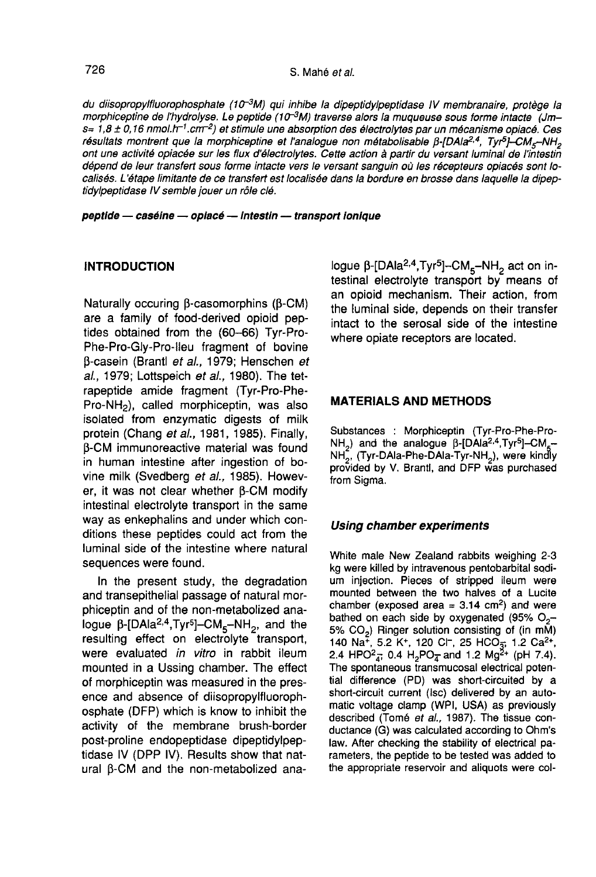726<br>du diisopropylfluorophosphate (10<sup>-3</sup>M) qui inhibe la dipeptidylpeptidase IV membranaire, protège la<br>morphiceptine de l'hydrolyse. Le peptide (10<sup>-3</sup>M) traverse alors la muqueuse sous forme intacte (Jm– 726<br>
S. Mahé et al.<br>
du diisopropylfluorophosphate (10<sup>-3</sup>M) qui inhibe la dipeptidylpeptidase IV membranaire, protège la<br>
morphiceptine de l'hydrolyse. Le peptide (10<sup>-3</sup>M) traverse alors la muqueuse sous forme intacte ( dépend de leur transfert sous forme intacte vers le versant sanguin où les récepteurs opiacés sont localisés. L'étape limitante de ce transfert est localisée dans la bordure en brosse dans laquelle la dipeptidylpeptidase IV semble jouer un rôle clé.

peptide - caséine - opiacé -- intestin -- transport ionique

#### INTRODUCTION

Naturally occuring B-casomorphins (B-CM) are a family of food-derived opioid peptides obtained from the (60-66) Tyr-Pro-Phe-Pro-Gly-Pro-lleu fragment of bovine β-casein (Brantl *et al.*, 1979; Henschen *et* al., 1979; Lottspeich et al., 1980). The tetrapeptide amide fragment (Tyr-Pro-Phe-Prie-Pro-Gly-Pro-lieu tragment of bovine<br> $\beta$ -casein (Brantl *et al.*, 1979; Henschen *ei<br>al.*, 1979; Lottspeich *et al.*, 1980). The tet-<br>rapeptide amide fragment (Tyr-Pro-Phe-<br>Pro-NH<sub>2</sub>), called morphiceptin, was also<br>i isolated from enzymatic digests of milk protein (Chang et al., 1981, 1985). Finally, **B-CM immunoreactive material was found** in human intestine after ingestion of bovine milk (Svedberg et al., 1985). However, it was not clear whether  $\beta$ -CM modify intestinal electrolyte transport in the same way as enkephalins and under which conditions these peptides could act from the luminal side of the intestine where natural sequences were found.

In the present study, the degradation and transepithelial passage of natural morphiceptin and of the non-metabolized analogue  $\beta$ -[DAla<sup>2,4</sup>,Tyr<sup>5</sup>]-CM<sub>5</sub>-NH<sub>2</sub>, and the resulting effect on electrolyte transport, were evaluated in vitro in rabbit ileum mounted in a Ussing chamber. The effect of morphiceptin was measured in the presence and absence of diisopropylfluorophosphate (DFP) which is know to inhibit the activity of the membrane brush-border post-proline endopeptidase dipeptidylpeptidase IV (DPP IV). Results show that natural  $\beta$ -CM and the non-metabolized analogue  $\beta$ -[DAla<sup>2,4</sup>, Tyr<sup>5</sup>]-CM<sub>5</sub>-NH<sub>2</sub> act on intestinal electrolyte transport by means of an opioid mechanism. Their action, from the luminal side, depends on their transfer intact to the serosal side of the intestine where opiate receptors are located. testinal electrolyte transport by means of<br>an opioid mechanism. Their action, from<br>the luminal side, depends on their transfer<br>intact to the serosal side of the intestine<br>where opiate receptors are located.<br>**MATERIALS AND** 

#### MATERIALS AND METHODS

Substances : Morphiceptin (Tyr-Pro-Phe-Pro-NH<sub>2</sub>) and the analogue β-[DAIa<sup>2.4</sup>,Tyr<sup>5</sup>]-CM<sub>5</sub>--<br>NH<sub>2</sub>, (Tyr-DAIa-Phe-DAIa-Tyr-NH<sub>2</sub>), were kindly provided by V. Brantl, and DFP was purchased from Sigma.

#### Using chamber experiments

White male New Zealand rabbits weighing 2-3 kg were killed by intravenous pentobarbital sodium injection. Pieces of stripped ileum were mounted between the two halves of a Lucite chamber (exposed area =  $3.14 \text{ cm}^2$ ) and were bathed on each side by oxygenated (95% O<sub>2</sub>-5% CO<sub>2</sub>) Ringer solution consisting of (in mM) Shathed on each side by oxygenated (95% O<sub>2</sub>)<br>5% CO<sub>2</sub>) Ringer solution consisting of (in mM)<br>140 Na<sup>+</sup>, 5.2 K<sup>+</sup>, 120 Cl<sup>-</sup>, 25 HCO<sub>5</sub>, 1.2 Ca<sup>2+</sup>,<br>2.4 HPO<sup>2</sup> = 0.4 H-PO = and 1.2 Mo<sup>2</sup>+ (oH 7.4) mounted between the two halves of a Lucite<br>chamber (exposed area = 3.14 cm<sup>2</sup>) and were<br>bathed on each side by oxygenated (95% O<sub>2</sub>-<br>5% CO<sub>2</sub>) Ringer solution consisting of (in mM)<br>140 Na<sup>+</sup>, 5.2 K<sup>+</sup>, 120 Cl<sup>-</sup>, 25 HCO<sub>3</sub> The spontaneous transmucosal electrical potential difference (PD) was short-circuited by a short-circuit current (Isc) delivered by an automatic voltage clamp (WPI, USA) as previously described (Tomé et al., 1987). The tissue conductance (G) was calculated according to Ohm's law. After checking the stability of electrical parameters, the peptide to be tested was added to the appropriate reservoir and aliquots were col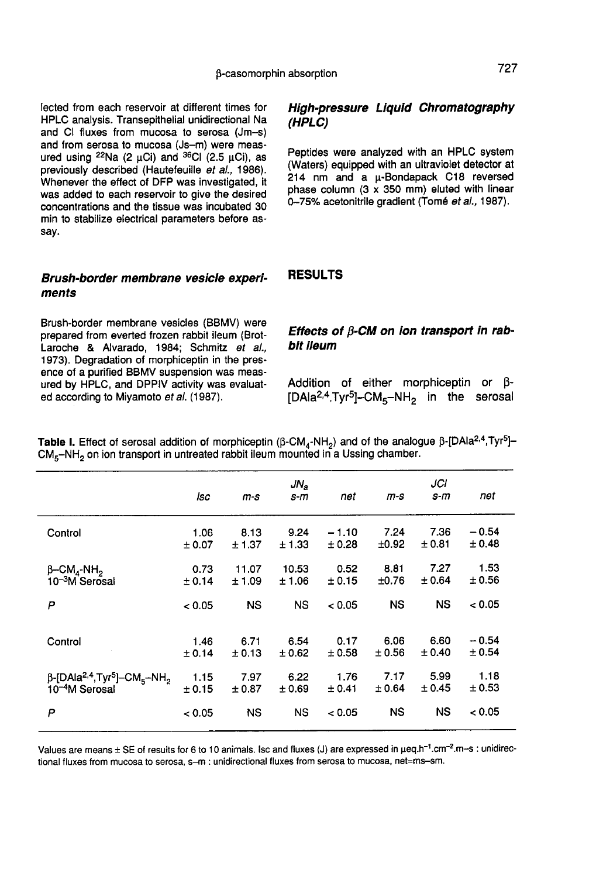fected from each reservoir at different times for HPLC analysis. Transepithelial unidirectional Na and CI fluxes from mucosa to serosa (Jm-s) and from serosa to mucosa (Js-m) were measured using  $^{22}$ Na (2 µCi) and  $^{36}$ CI (2.5 µCi), as previously described (Hautefeuille et al., 1986). Whenever the effect of DFP was investigated, it was added to each reservoir to give the desired concentrations and the tissue was incubated 30 min to stabilize electrical parameters before assay.

#### Brush-border membrane vesicle experiments

Brush-border membrane vesicles (BBMV) were prepared from everted frozen rabbit ileum (Brot-Laroche & Alvarado, 1984; Schmitz et al., 1973). Degradation of morphiceptin in the presence of a purified BBMV suspension was measured by HPLC, and DPPIV activity was evaluated according to Miyamoto et al. (1987).

#### High-pressure Liquid Chromatography (HPLC)

Peptides were analyzed with an HPLC system (Waters) equipped with an ultraviolet detector at 214 nm and a p-Bondapack C18 reversed phase column (3  $\times$  350 mm) eluted with linear 0-75% acetonitrile gradient (Tomé et al., 1987).

#### RESULTS

#### Effects of  $\beta$ -CM on ion transport in rabbit ileum

Addition of either morphiceptin or  $\beta$ -<br>[DAia<sup>2,4</sup>,Tyr<sup>5</sup>]-CM<sub>5</sub>-NH<sub>2</sub> in the serosal **Effects of**  $\beta$ **-CM on ion transport in rab-<br>bit ileum**<br>Addition of either morphiceptin or  $\beta$ -<br>[DAla<sup>2,4</sup>,Tyr<sup>5</sup>]--CM<sub>5</sub>--NH<sub>2</sub> in the serosal<br>CM<sub>4</sub>-NH<sub>2</sub>) and of the analogue  $\beta$ -[DAla<sup>2,4</sup>,Tyr<sup>5</sup>]-

 $CM<sub>5</sub>-NH<sub>2</sub>$  on ion transport in untreated rabbit ileum mounted in a Ussing chamber.

|                                                                                    | lsc    | m-s    | $JN_a$<br>s-m | net     | $m-s$     | JCI<br>s-m | net     |
|------------------------------------------------------------------------------------|--------|--------|---------------|---------|-----------|------------|---------|
| Control                                                                            | 1.06   | 8.13   | 9.24          | $-1.10$ | 7.24      | 7.36       | $-0.54$ |
|                                                                                    | ± 0.07 | ± 1.37 | ± 1.33        | ± 0.28  | ±0.92     | ± 0.81     | ± 0.48  |
| $\beta$ -CM <sub>4</sub> -NH <sub>2</sub>                                          | 0.73   | 11.07  | 10.53         | 0.52    | 8.81      | 7.27       | 1.53    |
| 10 <sup>–3</sup> M Serosal                                                         | ± 0.14 | ±1.09  | ±1.06         | ± 0.15  | ±0.76     | ± 0.64     | ± 0.56  |
| P                                                                                  | < 0.05 | NS     | <b>NS</b>     | < 0.05  | <b>NS</b> | <b>NS</b>  | < 0.05  |
| Control                                                                            | 1.46   | 6.71   | 6.54          | 0.17    | 6.06      | 6.60       | $-0.54$ |
|                                                                                    | ± 0.14 | ± 0.13 | ± 0.62        | ± 0.58  | ± 0.56    | ± 0.40     | ± 0.54  |
| $\beta$ -[DAIa <sup>2,4</sup> ,Tyr <sup>5</sup> ]-CM <sub>5</sub> -NH <sub>2</sub> | 1.15   | 7.97   | 6.22          | 1.76    | 7.17      | 5.99       | 1.18    |
| 10 <sup>-4</sup> M Serosal                                                         | ± 0.15 | ± 0.87 | ± 0.69        | ± 0.41  | ± 0.64    | $\pm$ 0.45 | ± 0.53  |
| P                                                                                  | < 0.05 | NS     | <b>NS</b>     | < 0.05  | NS        | ΝS         | < 0.05  |

Values are means ± SE of results for 6 to 10 animals. Isc and fluxes (J) are expressed in µeq.h<sup>-1</sup>.cm<sup>-2</sup>.m-s : unidirectional fluxes from mucosa to serosa, s-m ; unidirectional fluxes from serosa to mucosa, net=ms-sm.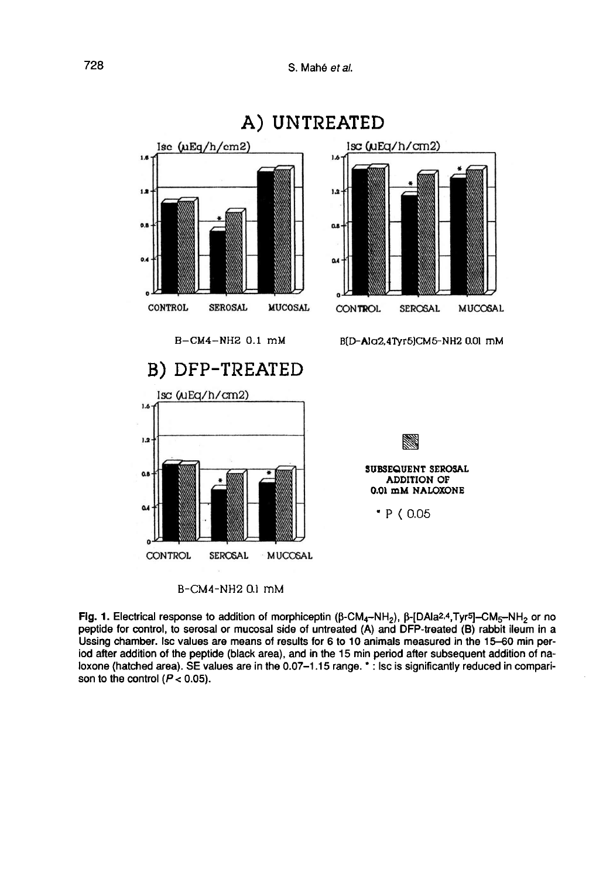

A) UNTREATED

B-CM4-NH2 0.1 mM

Fig. 1. Electrical response to addition of morphiceptin ( $\beta$ -CM<sub>4</sub>-NH<sub>2</sub>),  $\beta$ -[DAIa<sup>2,4</sup>,Tyr<sup>5</sup>]-CM<sub>5</sub>-NH<sub>2</sub> or no peptide for control, to serosal or mucosal side of untreated (A) and DFP-treated (B) rabbit ileum in a Ussing chamber. Isc values are means of results for 6 to 10 animals measured in the 15-60 min period after addition of the peptide (black area), and in the 15 min period after subsequent addition of naloxone (hatched area). SE values are in the 0.07-1.15 range. \*: lsc is significantly reduced in comparison to the control ( $P < 0.05$ ).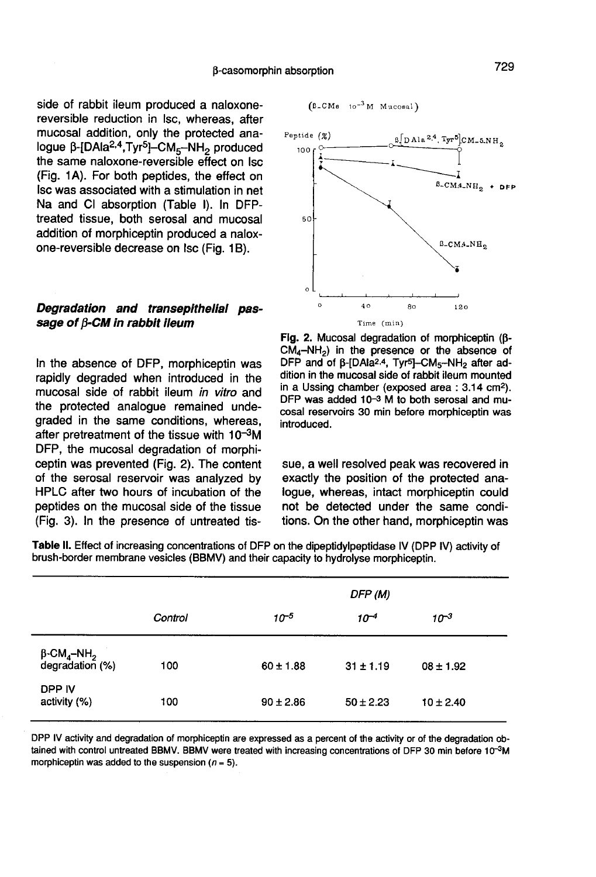side of rabbit ileum produced a naloxonereversible reduction in lsc, whereas, after mucosal addition, only the protected ana-<br>logue  $\beta$ -[DAla<sup>2,4</sup>,Tyr<sup>5</sup>]-CM<sub>5</sub>-NH<sub>2</sub> produced  $β$ -casomor<br>side of rabbit ileum produced a naloxone-<br>reversible reduction in lsc, whereas, after<br>mucosal addition, only the protected ana-<br>logue  $β$ -[DAla<sup>2,4</sup>,Tyr<sup>5</sup>]-CM<sub>5</sub>-NH<sub>2</sub> produced<br>the same naloxone-reversible e the same naloxone-reversible effect on lsc (Fig. 1 A). For both peptides, the effect on lsc was associated with a stimulation in net Na and CI absorption (Table I). In DFPtreated tissue, both serosal and mucosal addition of morphiceptin produced a naloxone-reversible decrease on Isc (Fig. 1B).

#### Degradation and transepithelial passage of  $\beta$ -CM in rabbit ileum

In the absence of DFP, morphiceptin was rapidly degraded when introduced in the mucosal side of rabbit ileum in vitro and the protected analogue remained undegraded in the same conditions, whereas, after pretreatment of the tissue with  $10^{-3}$ M DFP, the mucosal degradation of morphiceptin was prevented (Fig. 2). The content of the serosal reservoir was analyzed by HPLC after two hours of incubation of the peptides on the mucosal side of the tissue (Fig. 3). In the presence of untreated tis-





Fig. 2. Mucosal degradation of morphiceptin (B- $CM_4-NH_2$ ) in the presence or the absence of DFP and of β-[DAla<sup>2,4</sup>, Tyr<sup>5</sup>]-CM<sub>5</sub>-NH<sub>2</sub> after addition in the mucosal side of rabbit ileum mounted in a Ussing chamber (exposed area : 3.14 cm<sup>2</sup>). DFP was added 10-3 M to both serosal and mucosal reservoirs 30 min before morphiceptin was introduced.

sue, a well resolved peak was recovered in exactly the position of the protected analogue, whereas, intact morphiceptin could not be detected under the same conditions. On the other hand, morphiceptin was

Table II. Effect of increasing concentrations of DFP on the dipeptidylpeptidase IV (DPP IV) activity of brush-border membrane vesicles (BBMV) and their capacity to hydrolyse morphiceptin.

|                                                              |         |               | DFP (M)       |               |  |  |  |  |
|--------------------------------------------------------------|---------|---------------|---------------|---------------|--|--|--|--|
|                                                              | Control | $10^{-5}$     | $10^{-4}$     | $10^{-3}$     |  |  |  |  |
| $\beta$ -CM <sub>4</sub> -NH <sub>2</sub><br>degradation (%) | 100     | $60 \pm 1.88$ | $31 \pm 1.19$ | $08 \pm 1.92$ |  |  |  |  |
| DPP IV<br>activity (%)                                       | 100     | $90 \pm 2.86$ | $50 \pm 2.23$ | $10 \pm 2.40$ |  |  |  |  |

DPP IV activity and degradation of morphiceptin are expressed as a percent of the activity or of the degradation obtained with control untreated BBMV. BBMV were treated with increasing concentrations of DFP 30 min before 10<sup>-3</sup>M morphiceptin was added to the suspension ( $n = 5$ ).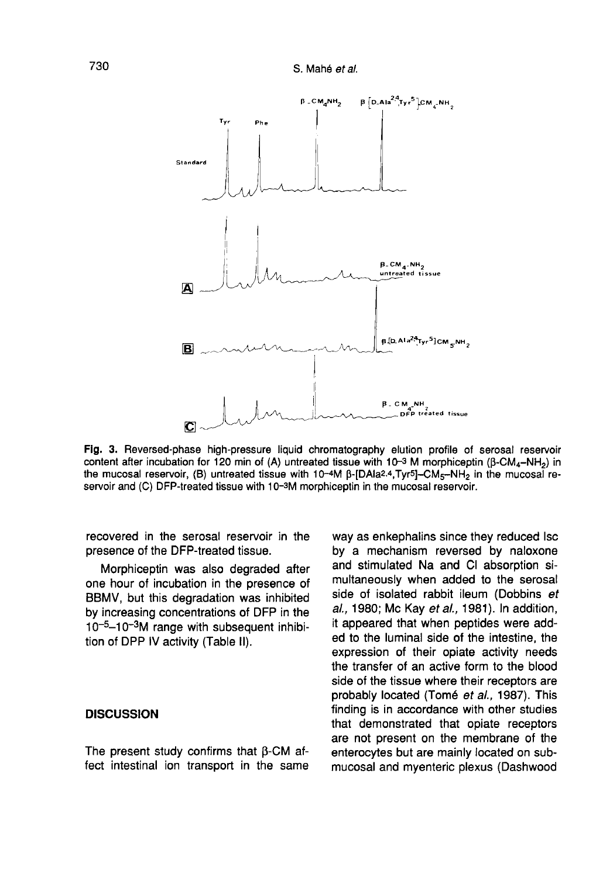

Fig. 3. Reversed-phase high-pressure liquid chromatography elution profile of serosal reservoir content after incubation for 120 min of (A) untreated tissue with  $10^{-3}$  M morphiceptin (B-CM<sub>a</sub>-NH<sub>2</sub>) in the mucosal reservoir, (B) untreated tissue with 10-4M B-[DAla2.4,Tyr5]-CM<sub>5</sub>-NH<sub>2</sub> in the mucosal reservoir and (C) DFP-treated tissue with 10-3M morphiceptin in the mucosal reservoir.

recovered in the serosal reservoir in the presence of the DFP-treated tissue.

Morphiceptin was also degraded after one hour of incubation in the presence of BBMV, but this degradation was inhibited by increasing concentrations of DFP in the  $10^{-5}$ –10<sup>-3</sup>M range with subsequent inhibipresence of the DFF-treated tissue.<br>
Morphiceptin was also degraded after<br>
one hour of incubation in the presence of<br>
BBMV, but this degradation was inhibited<br>
by increasing concentrations of DFP in the<br>  $10^{-5}$ – $10^{-3}$ M r tion of DPP IV activity (Table II).

#### **DISCUSSION**

The present study confirms that  $\beta$ -CM affect intestinal ion transport in the same way as enkephalins since they reduced lsc by a mechanism reversed by naloxone and stimulated Na and CI absorption simultaneously when added to the serosal side of isolated rabbit ileum (Dobbins et al., 1980; Mc Kay et al., 1981). In addition, it appeared that when peptides were added to the luminal side of the intestine, the expression of their opiate activity needs the transfer of an active form to the blood side of the tissue where their receptors are probably located (Tomé et al., 1987). This finding is in accordance with other studies that demonstrated that opiate receptors are not present on the membrane of the enterocytes but are mainly located on submucosal and myenteric plexus (Dashwood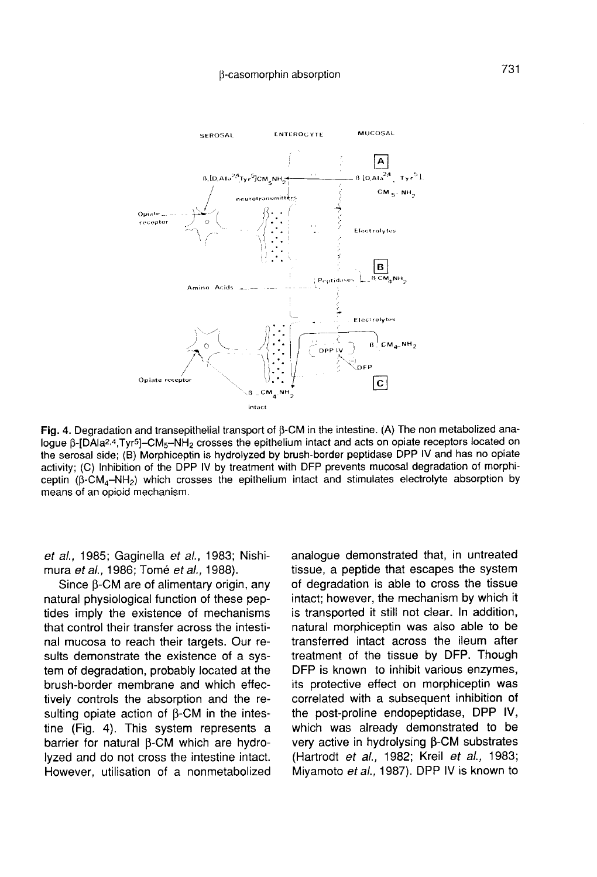

Fig. 4. Degradation and transepithelial transport of B-CM in the intestine. (A) The non metabolized analogue  $\beta$ -[DAla<sup>2,4</sup>,Tyr<sup>5</sup>]-CM<sub>5</sub>-NH<sub>2</sub> crosses the epithelium intact and acts on opiate receptors located on the serosal side; (B) Morphiceptin is hydrolyzed by brush-border peptidase DPP IV and has no opiate activity: (C) Inhibition of the DPP IV by treatment with DFP prevents mucosal degradation of morphiceptin  $(\beta$ -CM<sub>a</sub>-NH<sub>2</sub>) which crosses the epithelium intact and stimulates electrolyte absorption by means of an opioid mechanism.

et al., 1985; Gaginella et al., 1983; Nishi-<br>mura et al., 1986; Tomé et al., 1988).

Since B-CM are of alimentary origin, any natural physiological function of these peptides imply the existence of mechanisms that control their transfer across the intestinal mucosa to reach their targets. Our results demonstrate the existence of a system of degradation, probably located at the brush-border membrane and which effectively controls the absorption and the resulting opiate action of  $\beta$ -CM in the intestine (Fig. 4). This system represents a barrier for natural  $\beta$ -CM which are hydrolyzed and do not cross the intestine intact. However, utilisation of a nonmetabolized

analogue demonstrated that, in untreated tissue, a peptide that escapes the system of degradation is able to cross the tissue intact; however, the mechanism by which it is transported it still not clear. In addition, natural morphiceptin was also able to be transferred intact across the ileum after treatment of the tissue by DFP. Though DFP is known to inhibit various enzymes, its protective effect on morphiceptin was correlated with a subsequent inhibition of the post-proline endopeptidase, DPP IV, which was already demonstrated to be very active in hydrolysing  $\beta$ -CM substrates (Hartrodt et al., 1982; Kreil et al., 1983; Miyamoto et al., 1987). DPP IV is known to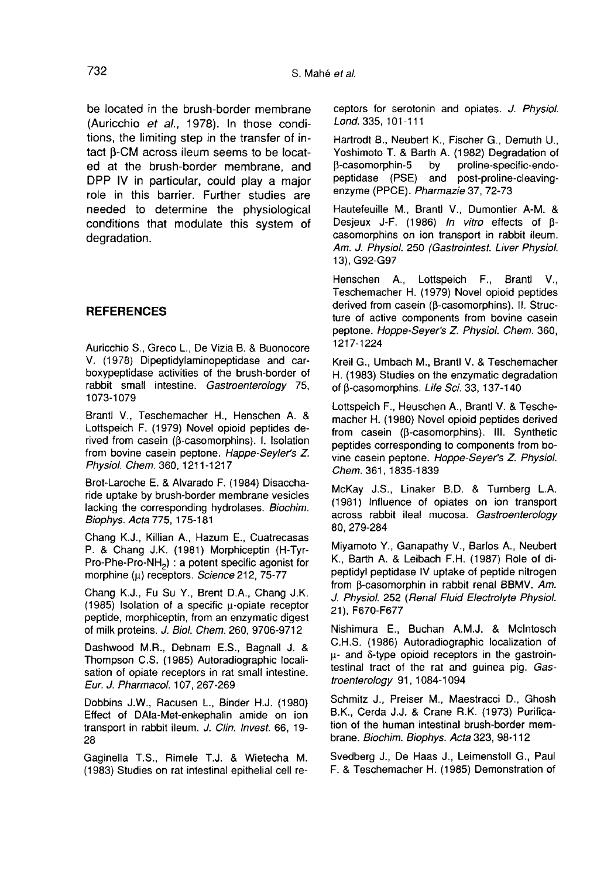be located in the brush-border membrane (Auricchio et al., 1978). In those conditions, the limiting step in the transfer of in-(Auricenio *et al.,* 1978). In those condi-<br>tions, the limiting step in the transfer of in-<br>tact  $\beta$ -CM across ileum seems to be locat-<br>ed at the brush-border membrane, and ed at the brush-border membrane, and DPP IV in particular, could play a major role in this barrier. Further studies are needed to determine the physiological conditions that modulate this system of degradation.

#### REFERENCES

Auricchio S., Greco L., De Vizia B. & Buonocore V. (1978) Dipeptidylaminopeptidase and carboxypeptidase activities of the brush-border of rabbit small intestine. Gastroenterology 75, 1073-1079

Brantl V., Teschemacher H., Henschen A. & Lottspeich F. (1979) Novel opioid peptides derived from casein ( $\beta$ -casomorphins). I. Isolation from bovine casein peptone. Happe-Seyler's Z. Physiol. Chem. 360, 1211-1217

Brot-Laroche E. & Alvarado F. (1984) Disaccharide uptake by brush-border membrane vesicles lacking the corresponding hydrolases. Biochim. Biophys. Acta 775, 175-181 from bovine casein peptone. Happe-Seyler's Z.<br>Physiol. Chem. 360, 1211-1217<br>Brot-Laroche E. & Alvarado F. (1984) Disaccha-<br>ride uptake by brush-border membrane vesicles<br>lacking the corresponding hydrolases. *Biochim.*<br>Biop

Chang K.J., Killian A., Hazum E., Cuatrecasas P. & Chang J.K. (1981) Morphiceptin (H-Tyr-<br>Pro-Phe-Pro-NH<sub>2</sub>): a potent specific agonist for morphine ( $\mu$ ) receptors. Science 212, 75-77

Chang K.J., Fu Su Y., Brent D.A., Chang J.K.  $(1985)$  Isolation of a specific  $\mu$ -opiate receptor peptide, morphiceptin, from an enzymatic digest of milk proteins. J. Biol. Chem. 260, 9706-9712

Dashwood M.R., Debnam E.S., Bagnall J. & Thompson C.S. (1985) Autoradiographic localisation of opiate receptors in rat small intestine. Eur. J. Pharmacol. 107, 267-269

Dobbins J.W., Racusen L., Binder H.J. (1980) Effect of DAla-Met-enkephalin amide on ion transport in rabbit ileum. J. Clin. Invest. 66, 19- 28

Gaginella T.S., Rimele T.J. & Wietecha M. (1983) Studies on rat intestinal epithelial cell receptors for serotonin and opiates. J. Physiol. Lond. 335, 101-111

Hartrodt B., Neubert K., Fischer G., Demuth U., Yoshimoto T. & Barth A. (1982) Degradation of proline-specific-endopeptidase (PSE) and post-proline-cleavingenzyme (PPCE). Pharmazie 37, 72-73

Hautefeuille M., Brantl V., Dumontier A-M. & Desjeux J-F. (1986) In vitro effects of Bcasomorphins on ion transport in rabbit ileum. Am. J. Physiol. 250 (Gastrointest. Liver Physiol. 13), G92-G97

Henschen A., Lottspeich F., Brantl V., Teschemacher H. (1979) Novel opioid peptides derived from casein (B-casomorphins). II. Structure of active components from bovine casein peptone. Hoppe-Seyer's Z. Physiol. Chem. 360, 1217-1224

Kreil G., Umbach M., Brantl V. & Teschemacher H. (1983) Studies on the enzymatic degradation of B-casomorphins. Life Sci. 33, 137-140

Lottspeich F., Heuschen A., Brantl V. & Teschemacher H. (1980) Novel opioid peptides derived from casein ((3-casomorphins). 111. Synthetic peptides corresponding to components from bo-.<br>vine casein peptone. Hoppe-Seyer's Z. Physiol. Chem. 361, 1835-1839

McKay J.S., Linaker B.D. & Turnberg L.A. (1981) Influence of opiates on ion transport across rabbit ileal mucosa. Gastroenterology 80, 279-284

Miyamoto Y., Ganapathy V., Barlos A., Neubert K., Barth A. & Leibach F.H. (1987) Role of dipeptidyl peptidase IV uptake of peptide nitrogen from (3-casomorphin in rabbit renal BBMV. Am. J. Physiol. 252 (Renal Fluid Electrolyte Physiol. 21 ), F670-F677

Nishimura E., Buchan A.M.J. & Mclntosch C.H.S. (1986) Autoradiographic localization of p- and 8-type opioid receptors in the gastrointestinal tract of the rat and guinea pig. Gastroenterology 91, 1084-1094

Schmitz J., Preiser M., Maestracci D., Ghosh B.K., Cerda J.J. & Crane R.K. (1973) Purification of the human intestinal brush-border membrane. Biochim. Biophys. Acta 323, 98-112

Svedberg J., De Haas J., Leimenstoll G., Paul F. & Teschemacher H. (1985) Demonstration of